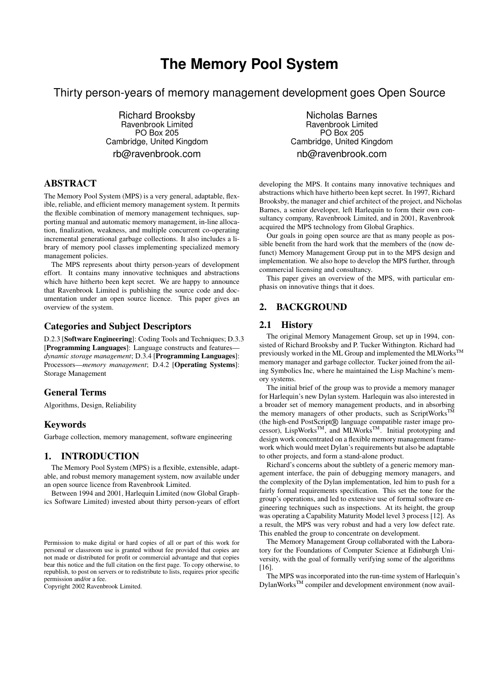# **The Memory Pool System**

Thirty person-years of memory management development goes Open Source

Richard Brooksby Ravenbrook Limited PO Box 205 Cambridge, United Kingdom rb@ravenbrook.com

**ABSTRACT**

The Memory Pool System (MPS) is a very general, adaptable, flexible, reliable, and efficient memory management system. It permits the flexible combination of memory management techniques, supporting manual and automatic memory management, in-line allocation, finalization, weakness, and multiple concurrent co-operating incremental generational garbage collections. It also includes a library of memory pool classes implementing specialized memory management policies.

The MPS represents about thirty person-years of development effort. It contains many innovative techniques and abstractions which have hitherto been kept secret. We are happy to announce that Ravenbrook Limited is publishing the source code and documentation under an open source licence. This paper gives an overview of the system.

### **Categories and Subject Descriptors**

D.2.3 [**Software Engineering**]: Coding Tools and Techniques; D.3.3 [**Programming Languages**]: Language constructs and features *dynamic storage management*; D.3.4 [**Programming Languages**]: Processors—*memory management*; D.4.2 [**Operating Systems**]: Storage Management

### **General Terms**

Algorithms, Design, Reliability

# **Keywords**

Garbage collection, memory management, software engineering

### **1. INTRODUCTION**

The Memory Pool System (MPS) is a flexible, extensible, adaptable, and robust memory management system, now available under an open source licence from Ravenbrook Limited.

Between 1994 and 2001, Harlequin Limited (now Global Graphics Software Limited) invested about thirty person-years of effort

Copyright 2002 Ravenbrook Limited.

Nicholas Barnes Ravenbrook Limited PO Box 205 Cambridge, United Kingdom nb@ravenbrook.com

developing the MPS. It contains many innovative techniques and abstractions which have hitherto been kept secret. In 1997, Richard Brooksby, the manager and chief architect of the project, and Nicholas Barnes, a senior developer, left Harlequin to form their own consultancy company, Ravenbrook Limited, and in 2001, Ravenbrook acquired the MPS technology from Global Graphics.

Our goals in going open source are that as many people as possible benefit from the hard work that the members of the (now defunct) Memory Management Group put in to the MPS design and implementation. We also hope to develop the MPS further, through commercial licensing and consultancy.

This paper gives an overview of the MPS, with particular emphasis on innovative things that it does.

### **2. BACKGROUND**

### **2.1 History**

The original Memory Management Group, set up in 1994, consisted of Richard Brooksby and P. Tucker Withington. Richard had previously worked in the ML Group and implemented the MLWorks<sup>TM</sup> memory manager and garbage collector. Tucker joined from the ailing Symbolics Inc, where he maintained the Lisp Machine's memory systems.

The initial brief of the group was to provide a memory manager for Harlequin's new Dylan system. Harlequin was also interested in a broader set of memory management products, and in absorbing the memory managers of other products, such as  $ScriptWorks$ <sup>TI</sup> (the high-end PostScript®) language compatible raster image processor), LispWorksTM, and MLWorksTM. Initial prototyping and design work concentrated on a flexible memory management framework which would meet Dylan's requirements but also be adaptable to other projects, and form a stand-alone product.

Richard's concerns about the subtlety of a generic memory management interface, the pain of debugging memory managers, and the complexity of the Dylan implementation, led him to push for a fairly formal requirements specification. This set the tone for the group's operations, and led to extensive use of formal software engineering techniques such as inspections. At its height, the group was operating a Capability Maturity Model level 3 process [12]. As a result, the MPS was very robust and had a very low defect rate. This enabled the group to concentrate on development.

The Memory Management Group collaborated with the Laboratory for the Foundations of Computer Science at Edinburgh University, with the goal of formally verifying some of the algorithms [16].

The MPS was incorporated into the run-time system of Harlequin's DylanWorksTM compiler and development environment (now avail-

Permission to make digital or hard copies of all or part of this work for personal or classroom use is granted without fee provided that copies are not made or distributed for profit or commercial advantage and that copies bear this notice and the full citation on the first page. To copy otherwise, to republish, to post on servers or to redistribute to lists, requires prior specific permission and/or a fee.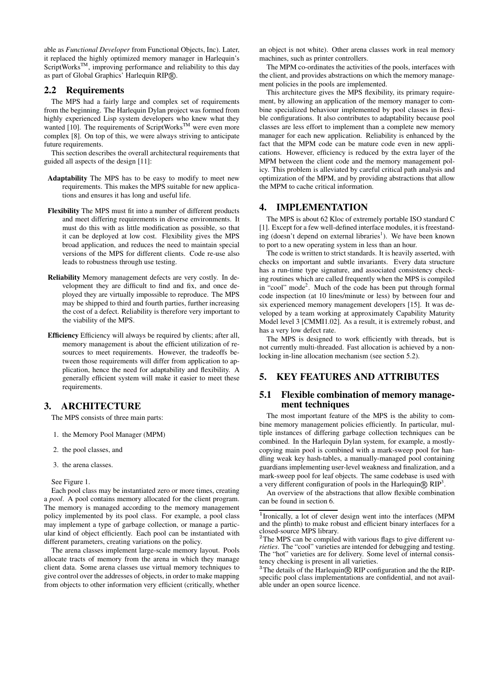able as *Functional Developer* from Functional Objects, Inc). Later, it replaced the highly optimized memory manager in Harlequin's ScriptWorks<sup>TM</sup>, improving performance and reliability to this day as part of Global Graphics' Harlequin RIP®.

### **2.2 Requirements**

The MPS had a fairly large and complex set of requirements from the beginning. The Harlequin Dylan project was formed from highly experienced Lisp system developers who knew what they wanted [10]. The requirements of ScriptWorks<sup>TM</sup> were even more complex [8]. On top of this, we were always striving to anticipate future requirements.

This section describes the overall architectural requirements that guided all aspects of the design [11]:

- **Adaptability** The MPS has to be easy to modify to meet new requirements. This makes the MPS suitable for new applications and ensures it has long and useful life.
- **Flexibility** The MPS must fit into a number of different products and meet differing requirements in diverse environments. It must do this with as little modification as possible, so that it can be deployed at low cost. Flexibility gives the MPS broad application, and reduces the need to maintain special versions of the MPS for different clients. Code re-use also leads to robustness through use testing.
- **Reliability** Memory management defects are very costly. In development they are difficult to find and fix, and once deployed they are virtually impossible to reproduce. The MPS may be shipped to third and fourth parties, further increasing the cost of a defect. Reliability is therefore very important to the viability of the MPS.
- **Efficiency** Efficiency will always be required by clients; after all, memory management is about the efficient utilization of resources to meet requirements. However, the tradeoffs between those requirements will differ from application to application, hence the need for adaptability and flexibility. A generally efficient system will make it easier to meet these requirements.

# **3. ARCHITECTURE**

The MPS consists of three main parts:

- 1. the Memory Pool Manager (MPM)
- 2. the pool classes, and
- 3. the arena classes.

See Figure 1.

Each pool class may be instantiated zero or more times, creating a *pool*. A pool contains memory allocated for the client program. The memory is managed according to the memory management policy implemented by its pool class. For example, a pool class may implement a type of garbage collection, or manage a particular kind of object efficiently. Each pool can be instantiated with different parameters, creating variations on the policy.

The arena classes implement large-scale memory layout. Pools allocate tracts of memory from the arena in which they manage client data. Some arena classes use virtual memory techniques to give control over the addresses of objects, in order to make mapping from objects to other information very efficient (critically, whether

an object is not white). Other arena classes work in real memory machines, such as printer controllers.

The MPM co-ordinates the activities of the pools, interfaces with the client, and provides abstractions on which the memory management policies in the pools are implemented.

This architecture gives the MPS flexibility, its primary requirement, by allowing an application of the memory manager to combine specialized behaviour implemented by pool classes in flexible configurations. It also contributes to adaptability because pool classes are less effort to implement than a complete new memory manager for each new application. Reliability is enhanced by the fact that the MPM code can be mature code even in new applications. However, efficiency is reduced by the extra layer of the MPM between the client code and the memory management policy. This problem is alleviated by careful critical path analysis and optimization of the MPM, and by providing abstractions that allow the MPM to cache critical information.

### **4. IMPLEMENTATION**

The MPS is about 62 Kloc of extremely portable ISO standard C [1]. Except for a few well-defined interface modules, it is freestanding (doesn't depend on external libraries<sup>1</sup>). We have been known to port to a new operating system in less than an hour.

The code is written to strict standards. It is heavily asserted, with checks on important and subtle invariants. Every data structure has a run-time type signature, and associated consistency checking routines which are called frequently when the MPS is compiled in "cool" mode<sup>2</sup>. Much of the code has been put through formal code inspection (at 10 lines/minute or less) by between four and six experienced memory management developers [15]. It was developed by a team working at approximately Capability Maturity Model level 3 [CMMI1.02]. As a result, it is extremely robust, and has a very low defect rate.

The MPS is designed to work efficiently with threads, but is not currently multi-threaded. Fast allocation is achieved by a nonlocking in-line allocation mechanism (see section 5.2).

### **5. KEY FEATURES AND ATTRIBUTES**

### **5.1 Flexible combination of memory management techniques**

The most important feature of the MPS is the ability to combine memory management policies efficiently. In particular, multiple instances of differing garbage collection techniques can be combined. In the Harlequin Dylan system, for example, a mostlycopying main pool is combined with a mark-sweep pool for handling weak key hash-tables, a manually-managed pool containing guardians implementing user-level weakness and finalization, and a mark-sweep pool for leaf objects. The same codebase is used with a very different configuration of pools in the Harlequin $\mathbb{R}$  RIP<sup>3</sup>.

An overview of the abstractions that allow flexible combination can be found in section 6.

<sup>&</sup>lt;sup>1</sup> Ironically, a lot of clever design went into the interfaces (MPM and the plinth) to make robust and efficient binary interfaces for a closed-source MPS library.

<sup>&</sup>lt;sup>2</sup>The MPS can be compiled with various flags to give different va*rieties*. The "cool" varieties are intended for debugging and testing. The "hot" varieties are for delivery. Some level of internal consistency checking is present in all varieties.

 $3$ The details of the Harlequin $\circledR$  RIP configuration and the the RIPspecific pool class implementations are confidential, and not available under an open source licence.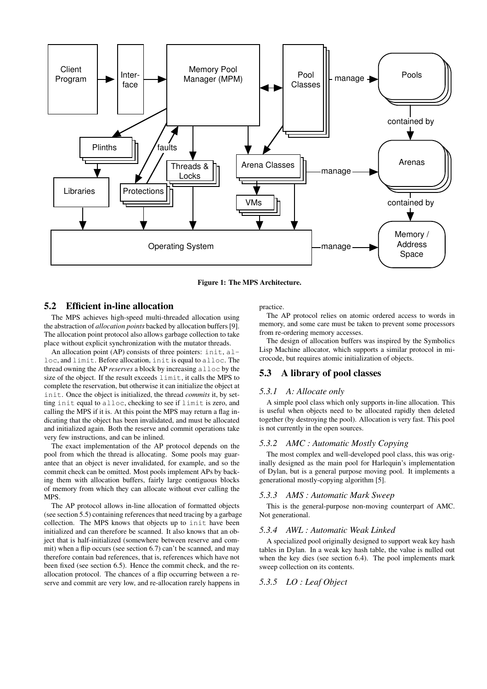

**Figure 1: The MPS Architecture.**

### **5.2 Efficient in-line allocation**

The MPS achieves high-speed multi-threaded allocation using the abstraction of *allocation points* backed by allocation buffers [9]. The allocation point protocol also allows garbage collection to take place without explicit synchronization with the mutator threads.

An allocation point (AP) consists of three pointers: init, alloc, and limit. Before allocation, init is equal to alloc. The thread owning the AP *reserves* a block by increasing alloc by the size of the object. If the result exceeds limit, it calls the MPS to complete the reservation, but otherwise it can initialize the object at init. Once the object is initialized, the thread *commits* it, by setting init equal to alloc, checking to see if limit is zero, and calling the MPS if it is. At this point the MPS may return a flag indicating that the object has been invalidated, and must be allocated and initialized again. Both the reserve and commit operations take very few instructions, and can be inlined.

The exact implementation of the AP protocol depends on the pool from which the thread is allocating. Some pools may guarantee that an object is never invalidated, for example, and so the commit check can be omitted. Most pools implement APs by backing them with allocation buffers, fairly large contiguous blocks of memory from which they can allocate without ever calling the MPS.

The AP protocol allows in-line allocation of formatted objects (see section 5.5) containing references that need tracing by a garbage collection. The MPS knows that objects up to init have been initialized and can therefore be scanned. It also knows that an object that is half-initialized (somewhere between reserve and commit) when a flip occurs (see section 6.7) can't be scanned, and may therefore contain bad references, that is, references which have not been fixed (see section 6.5). Hence the commit check, and the reallocation protocol. The chances of a flip occurring between a reserve and commit are very low, and re-allocation rarely happens in

practice.

The AP protocol relies on atomic ordered access to words in memory, and some care must be taken to prevent some processors from re-ordering memory accesses.

The design of allocation buffers was inspired by the Symbolics Lisp Machine allocator, which supports a similar protocol in microcode, but requires atomic initialization of objects.

### **5.3 A library of pool classes**

### *5.3.1 A: Allocate only*

A simple pool class which only supports in-line allocation. This is useful when objects need to be allocated rapidly then deleted together (by destroying the pool). Allocation is very fast. This pool is not currently in the open sources.

### *5.3.2 AMC : Automatic Mostly Copying*

The most complex and well-developed pool class, this was originally designed as the main pool for Harlequin's implementation of Dylan, but is a general purpose moving pool. It implements a generational mostly-copying algorithm [5].

#### *5.3.3 AMS : Automatic Mark Sweep*

This is the general-purpose non-moving counterpart of AMC. Not generational.

#### *5.3.4 AWL : Automatic Weak Linked*

A specialized pool originally designed to support weak key hash tables in Dylan. In a weak key hash table, the value is nulled out when the key dies (see section 6.4). The pool implements mark sweep collection on its contents.

#### *5.3.5 LO : Leaf Object*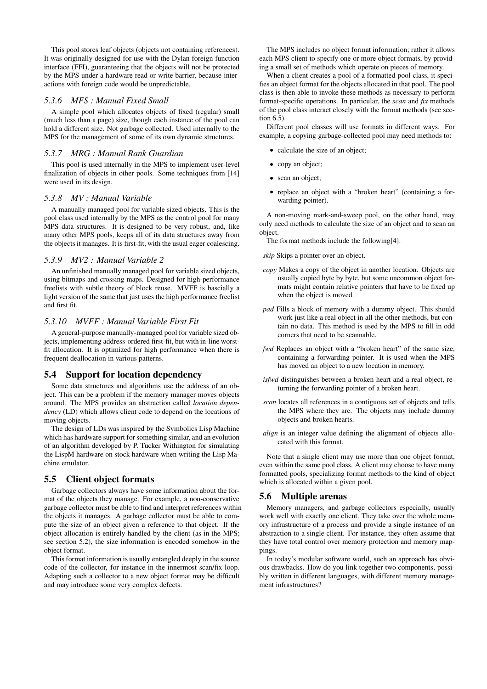This pool stores leaf objects (objects not containing references). It was originally designed for use with the Dylan foreign function interface (FFI), guaranteeing that the objects will not be protected by the MPS under a hardware read or write barrier, because interactions with foreign code would be unpredictable.

#### *5.3.6 MFS : Manual Fixed Small*

A simple pool which allocates objects of fixed (regular) small (much less than a page) size, though each instance of the pool can hold a different size. Not garbage collected. Used internally to the MPS for the management of some of its own dynamic structures.

#### *5.3.7 MRG : Manual Rank Guardian*

This pool is used internally in the MPS to implement user-level finalization of objects in other pools. Some techniques from [14] were used in its design.

#### *5.3.8 MV : Manual Variable*

A manually managed pool for variable sized objects. This is the pool class used internally by the MPS as the control pool for many MPS data structures. It is designed to be very robust, and, like many other MPS pools, keeps all of its data structures away from the objects it manages. It is first-fit, with the usual eager coalescing.

#### *5.3.9 MV2 : Manual Variable 2*

An unfinished manually managed pool for variable sized objects, using bitmaps and crossing maps. Designed for high-performance freelists with subtle theory of block reuse. MVFF is bascially a light version of the same that just uses the high performance freelist and first fit.

### *5.3.10 MVFF : Manual Variable First Fit*

A general-purpose manually-managed pool for variable sized objects, implementing address-ordered first-fit, but with in-line worstfit allocation. It is optimized for high performance when there is frequent deallocation in various patterns.

### **5.4 Support for location dependency**

Some data structures and algorithms use the address of an object. This can be a problem if the memory manager moves objects around. The MPS provides an abstraction called *location dependency* (LD) which allows client code to depend on the locations of moving objects.

The design of LDs was inspired by the Symbolics Lisp Machine which has hardware support for something similar, and an evolution of an algorithm developed by P. Tucker Withington for simulating the LispM hardware on stock hardware when writing the Lisp Machine emulator.

### **5.5 Client object formats**

Garbage collectors always have some information about the format of the objects they manage. For example, a non-conservative garbage collector must be able to find and interpret references within the objects it manages. A garbage collector must be able to compute the size of an object given a reference to that object. If the object allocation is entirely handled by the client (as in the MPS; see section 5.2), the size information is encoded somehow in the object format.

This format information is usually entangled deeply in the source code of the collector, for instance in the innermost scan/fix loop. Adapting such a collector to a new object format may be difficult and may introduce some very complex defects.

The MPS includes no object format information; rather it allows each MPS client to specify one or more object formats, by providing a small set of methods which operate on pieces of memory.

When a client creates a pool of a formatted pool class, it specifies an object format for the objects allocated in that pool. The pool class is then able to invoke these methods as necessary to perform format-specific operations. In particular, the *scan* and *fix* methods of the pool class interact closely with the format methods (see section 6.5).

Different pool classes will use formats in different ways. For example, a copying garbage-collected pool may need methods to:

- calculate the size of an object;
- copy an object;
- scan an object;
- replace an object with a "broken heart" (containing a forwarding pointer).

A non-moving mark-and-sweep pool, on the other hand, may only need methods to calculate the size of an object and to scan an object.

The format methods include the following[4]:

*skip* Skips a pointer over an object.

- *copy* Makes a copy of the object in another location. Objects are usually copied byte by byte, but some uncommon object formats might contain relative pointers that have to be fixed up when the object is moved.
- *pad* Fills a block of memory with a dummy object. This should work just like a real object in all the other methods, but contain no data. This method is used by the MPS to fill in odd corners that need to be scannable.
- *fwd* Replaces an object with a "broken heart" of the same size, containing a forwarding pointer. It is used when the MPS has moved an object to a new location in memory.
- *isfwd* distinguishes between a broken heart and a real object, returning the forwarding pointer of a broken heart.
- *scan* locates all references in a contiguous set of objects and tells the MPS where they are. The objects may include dummy objects and broken hearts.
- *align* is an integer value defining the alignment of objects allocated with this format.

Note that a single client may use more than one object format, even within the same pool class. A client may choose to have many formatted pools, specializing format methods to the kind of object which is allocated within a given pool.

### **5.6 Multiple arenas**

Memory managers, and garbage collectors especially, usually work well with exactly one client. They take over the whole memory infrastructure of a process and provide a single instance of an abstraction to a single client. For instance, they often assume that they have total control over memory protection and memory mappings.

In today's modular software world, such an approach has obvious drawbacks. How do you link together two components, possibly written in different languages, with different memory management infrastructures?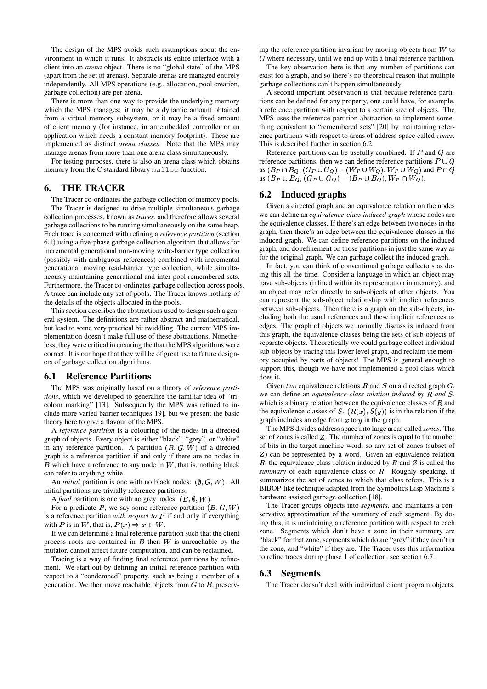The design of the MPS avoids such assumptions about the environment in which it runs. It abstracts its entire interface with a client into an *arena* object. There is no "global state" of the MPS (apart from the set of arenas). Separate arenas are managed entirely independently. All MPS operations (e.g., allocation, pool creation, garbage collection) are per-arena.

There is more than one way to provide the underlying memory which the MPS manages: it may be a dynamic amount obtained from a virtual memory subsystem, or it may be a fixed amount of client memory (for instance, in an embedded controller or an application which needs a constant memory footprint). These are implemented as distinct *arena classes*. Note that the MPS may manage arenas from more than one arena class simultaneously.

For testing purposes, there is also an arena class which obtains memory from the C standard library malloc function.

### **6. THE TRACER**

The Tracer co-ordinates the garbage collection of memory pools. The Tracer is designed to drive multiple simultaneous garbage collection processes, known as *traces*, and therefore allows several garbage collections to be running simultaneously on the same heap. Each trace is concerned with refining a *reference partition* (section 6.1) using a five-phase garbage collection algorithm that allows for incremental generational non-moving write-barrier type collection (possibly with ambiguous references) combined with incremental generational moving read-barrier type collection, while simultaneously maintaining generational and inter-pool remembered sets. Furthermore, the Tracer co-ordinates garbage collection across pools. A trace can include any set of pools. The Tracer knows nothing of the details of the objects allocated in the pools.

This section describes the abstractions used to design such a general system. The definitions are rather abstract and mathematical, but lead to some very practical bit twiddling. The current MPS implementation doesn't make full use of these abstractions. Nonetheless, they were critical in ensuring the that the MPS algorithms were correct. It is our hope that they will be of great use to future designers of garbage collection algorithms.

#### **6.1 Reference Partitions**

The MPS was originally based on a theory of *reference partitions*, which we developed to generalize the familiar idea of "tricolour marking" [13]. Subsequently the MPS was refined to include more varied barrier techniques[19], but we present the basic theory here to give a flavour of the MPS.

A *reference partition* is a colouring of the nodes in a directed graph of objects. Every object is either "black", "grey", or "white" in any reference partition. A partition  $(B, G, W)$  of a directed graph is a reference partition if and only if there are no nodes in  $B$  which have a reference to any node in  $W$ , that is, nothing black can refer to anything white.

An *initial* partition is one with no black nodes:  $(\emptyset, G, W)$ . All initial partitions are trivially reference partitions.

A *final* partition is one with no grey nodes:  $(B, \emptyset, W)$ .

For a predicate P, we say some reference partition  $(B, G, W)$ is a reference partition *with respect to*  $P$  if and only if everything with P is in W, that is,  $P(x) \Rightarrow x \in W$ .

If we can determine a final reference partition such that the client process roots are contained in  $B$  then  $W$  is unreachable by the mutator, cannot affect future computation, and can be reclaimed.

Tracing is a way of finding final reference partitions by refinement. We start out by defining an initial reference partition with respect to a "condemned" property, such as being a member of a generation. We then move reachable objects from  $G$  to  $B$ , preserving the reference partition invariant by moving objects from  $W$  to  $G$  where necessary, until we end up with a final reference partition.

The key observation here is that any number of partitions can exist for a graph, and so there's no theoretical reason that multiple garbage collections can't happen simultaneously.

A second important observation is that because reference partitions can be defined for any property, one could have, for example, a reference partition with respect to a certain size of objects. The MPS uses the reference partition abstraction to implement something equivalent to "remembered sets" [20] by maintaining reference partitions with respect to areas of address space called *zones*. This is described further in section 6.2.

Reference partitions can be usefully combined. If  $P$  and  $Q$  are reference partitions, then we can define reference partitions  $P \cup Q$ as  $(B_P \cap B_Q, (G_P \cup G_Q) - (W_P \cup W_Q), W_P \cup W_Q)$  and  $P \cap Q$ as  $(B_P \cup B_Q, (G_P \cup G_Q) - (B_P \cup B_Q), W_P \cap W_Q)$ .

#### **6.2 Induced graphs**

Given a directed graph and an equivalence relation on the nodes we can define an *equivalence-class induced graph* whose nodes are the equivalence classes. If there's an edge between two nodes in the graph, then there's an edge between the equivalence classes in the induced graph. We can define reference partitions on the induced graph, and do refinement on those partitions in just the same way as for the original graph. We can garbage collect the induced graph.

In fact, you can think of conventional garbage collectors as doing this all the time. Consider a language in which an object may have sub-objects (inlined within its representation in memory), and an object may refer directly to sub-objects of other objects. You can represent the sub-object relationship with implicit references between sub-objects. Then there is a graph on the sub-objects, including both the usual references and these implicit references as edges. The graph of objects we normally discuss is induced from this graph, the equivalence classes being the sets of sub-objects of separate objects. Theoretically we could garbage collect individual sub-objects by tracing this lower level graph, and reclaim the memory occupied by parts of objects! The MPS is general enough to support this, though we have not implemented a pool class which does it.

Given *two* equivalence relations  $R$  and  $S$  on a directed graph  $G$ , we can define an *equivalence-class relation induced by* R and S, which is a binary relation between the equivalence classes of  *and* the equivalence classes of S.  $(R(x), S(y))$  is in the relation if the graph includes an edge from  $x$  to  $y$  in the graph.

The MPS divides address space into large areas called *zones*. The set of zones is called  $Z$ . The number of zones is equal to the number of bits in the target machine word, so any set of zones (subset of  $Z$ ) can be represented by a word. Given an equivalence relation  $R$ , the equivalence-class relation induced by  $R$  and  $Z$  is called the *summary* of each equivalence class of  $R$ . Roughly speaking, it summarizes the set of zones to which that class refers. This is a BIBOP-like technique adapted from the Symbolics Lisp Machine's hardware assisted garbage collection [18].

The Tracer groups objects into *segments*, and maintains a conservative approximation of the summary of each segment. By doing this, it is maintaining a reference partition with respect to each zone. Segments which don't have a zone in their summary are "black" for that zone, segments which do are "grey" if they aren't in the zone, and "white" if they are. The Tracer uses this information to refine traces during phase 1 of collection; see section 6.7.

#### **6.3 Segments**

The Tracer doesn't deal with individual client program objects.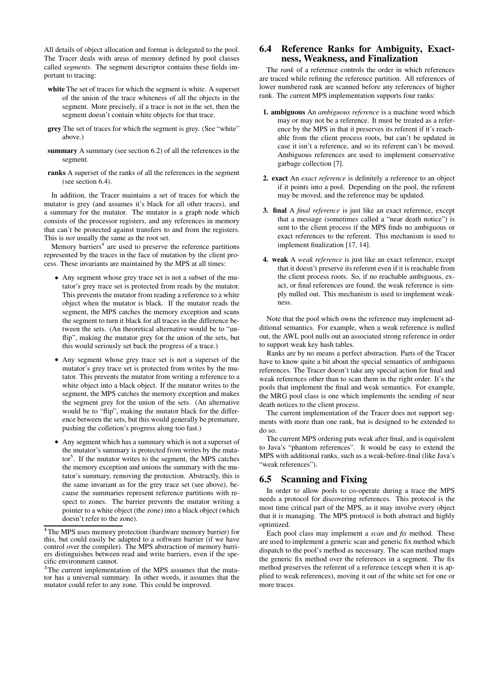All details of object allocation and format is delegated to the pool. The Tracer deals with areas of memory defined by pool classes called *segments*. The segment descriptor contains these fields important to tracing:

- **white** The set of traces for which the segment is white. A superset of the union of the trace whiteness of all the objects in the segment. More precisely, if a trace is not in the set, then the segment doesn't contain white objects for that trace.
- **grey** The set of traces for which the segment is grey. (See "white" above.)
- **summary** A summary (see section 6.2) of all the references in the segment.
- **ranks** A superset of the ranks of all the references in the segment (see section 6.4).

In addition, the Tracer maintains a set of traces for which the mutator is grey (and assumes it's black for all other traces), and a summary for the mutator. The mutator is a graph node which consists of the processor registers, and any references in memory that can't be protected against transfers to and from the registers. This is *not* usually the same as the root set.

Memory barriers<sup>4</sup> are used to preserve the reference partitions represented by the traces in the face of mutation by the client process. These invariants are maintained by the MPS at all times:

- Any segment whose grey trace set is not a subset of the mutator's grey trace set is protected from reads by the mutator. This prevents the mutator from reading a reference to a white object when the mutator is black. If the mutator reads the segment, the MPS catches the memory exception and scans the segment to turn it black for all traces in the difference between the sets. (An theoretical alternative would be to "unflip", making the mutator grey for the union of the sets, but this would seriously set back the progress of a trace.)
- Any segment whose grey trace set is not a superset of the mutator's grey trace set is protected from writes by the mutator. This prevents the mutator from writing a reference to a white object into a black object. If the mutator writes to the segment, the MPS catches the memory exception and makes the segment grey for the union of the sets. (An alternative would be to "flip", making the mutator black for the difference between the sets, but this would generally be premature, pushing the colletion's progress along too fast.)
- Any segment which has a summary which is not a superset of the mutator's summary is protected from writes by the mutator<sup>5</sup>. If the mutator writes to the segment, the MPS catches the memory exception and unions the summary with the mutator's summary, removing the protection. Abstractly, this is the same invariant as for the grey trace set (see above), because the summaries represent reference partitions with respect to zones. The barrier prevents the mutator writing a pointer to a white object (the zone) into a black object (which doesn't refer to the zone).

### **6.4 Reference Ranks for Ambiguity, Exactness, Weakness, and Finalization**

The *rank* of a reference controls the order in which references are traced while refining the reference partition. All references of lower numbered rank are scanned before any references of higher rank. The current MPS implementation supports four ranks:

- **1. ambiguous** An *ambiguous reference* is a machine word which may or may not be a reference. It must be treated as a reference by the MPS in that it preserves its referent if it's reachable from the client process roots, but can't be updated in case it isn't a reference, and so its referent can't be moved. Ambiguous references are used to implement conservative garbage collection [7].
- **2. exact** An *exact reference* is definitely a reference to an object if it points into a pool. Depending on the pool, the referent may be moved, and the reference may be updated.
- **3. final** A *final reference* is just like an exact reference, except that a message (sometimes called a "near death notice") is sent to the client process if the MPS finds no ambiguous or exact references to the referent. This mechanism is used to implement finalization [17, 14].
- **4. weak** A *weak reference* is just like an exact reference, except that it doesn't preserve its referent even if it is reachable from the client process roots. So, if no reachable ambiguous, exact, or final references are found, the weak reference is simply nulled out. This mechanism is used to implement weakness.

Note that the pool which owns the reference may implement additional semantics. For example, when a weak reference is nulled out, the AWL pool nulls out an associated strong reference in order to support weak key hash tables.

Ranks are by no means a perfect abstraction. Parts of the Tracer have to know quite a bit about the special semantics of ambiguous references. The Tracer doesn't take any special action for final and weak references other than to scan them in the right order. It's the pools that implement the final and weak semantics. For example, the MRG pool class is one which implements the sending of near death notices to the client process.

The current implementation of the Tracer does not support segments with more than one rank, but is designed to be extended to do so.

The current MPS ordering puts weak after final, and is equivalent to Java's "phantom references". It would be easy to extend the MPS with additional ranks, such as a weak-before-final (like Java's "weak references").

# **6.5 Scanning and Fixing**

In order to allow pools to co-operate during a trace the MPS needs a protocol for discovering references. This protocol is the most time critical part of the MPS, as it may involve every object that it is managing. The MPS protocol is both abstract and highly optimized.

Each pool class may implement a *scan* and *fix* method. These are used to implement a generic scan and generic fix method which dispatch to the pool's method as necessary. The scan method maps the generic fix method over the references in a segment. The fix method preserves the referent of a reference (except when it is applied to weak references), moving it out of the white set for one or more traces.

<sup>&</sup>lt;sup>4</sup>The MPS uses memory protection (hardware memory barrier) for this, but could easily be adapted to a software barrier (if we have control over the compiler). The MPS abstraction of memory barriers distinguishes between read and write barriers, even if the specific environment cannot.

 $5$ The current implementation of the MPS assumes that the mutator has a universal summary. In other words, it assumes that the mutator could refer to any zone. This could be improved.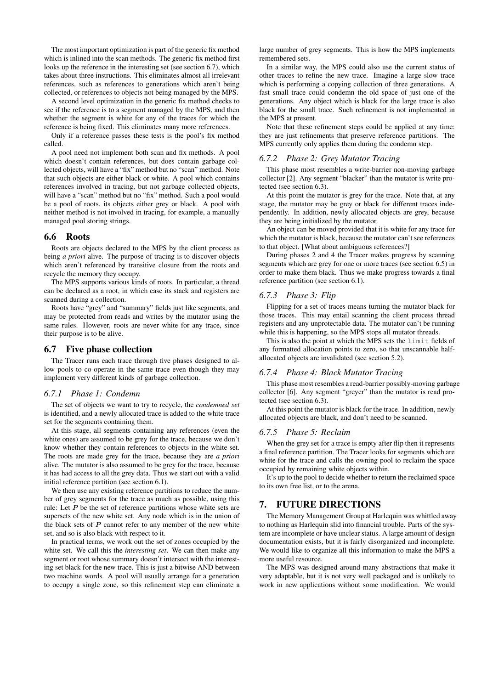The most important optimization is part of the generic fix method which is inlined into the scan methods. The generic fix method first looks up the reference in the interesting set (see section 6.7), which takes about three instructions. This eliminates almost all irrelevant references, such as references to generations which aren't being collected, or references to objects not being managed by the MPS.

A second level optimization in the generic fix method checks to see if the reference is to a segment managed by the MPS, and then whether the segment is white for any of the traces for which the reference is being fixed. This eliminates many more references.

Only if a reference passes these tests is the pool's fix method called.

A pool need not implement both scan and fix methods. A pool which doesn't contain references, but does contain garbage collected objects, will have a "fix" method but no "scan" method. Note that such objects are either black or white. A pool which contains references involved in tracing, but not garbage collected objects, will have a "scan" method but no "fix" method. Such a pool would be a pool of roots, its objects either grey or black. A pool with neither method is not involved in tracing, for example, a manually managed pool storing strings.

### **6.6 Roots**

Roots are objects declared to the MPS by the client process as being *a priori* alive. The purpose of tracing is to discover objects which aren't referenced by transitive closure from the roots and recycle the memory they occupy.

The MPS supports various kinds of roots. In particular, a thread can be declared as a root, in which case its stack and registers are scanned during a collection.

Roots have "grey" and "summary" fields just like segments, and may be protected from reads and writes by the mutator using the same rules. However, roots are never white for any trace, since their purpose is to be alive.

### **6.7 Five phase collection**

The Tracer runs each trace through five phases designed to allow pools to co-operate in the same trace even though they may implement very different kinds of garbage collection.

#### *6.7.1 Phase 1: Condemn*

The set of objects we want to try to recycle, the *condemned set* is identified, and a newly allocated trace is added to the white trace set for the segments containing them.

At this stage, all segments containing any references (even the white ones) are assumed to be grey for the trace, because we don't know whether they contain references to objects in the white set. The roots are made grey for the trace, because they are *a priori* alive. The mutator is also assumed to be grey for the trace, because it has had access to all the grey data. Thus we start out with a valid initial reference partition (see section 6.1).

We then use any existing reference partitions to reduce the number of grey segments for the trace as much as possible, using this rule: Let  $P$  be the set of reference partitions whose white sets are supersets of the new white set. Any node which is in the union of the black sets of  $P$  cannot refer to any member of the new white set, and so is also black with respect to it.

In practical terms, we work out the set of zones occupied by the white set. We call this the *interesting set*. We can then make any segment or root whose summary doesn't intersect with the interesting set black for the new trace. This is just a bitwise AND between two machine words. A pool will usually arrange for a generation to occupy a single zone, so this refinement step can eliminate a large number of grey segments. This is how the MPS implements remembered sets.

In a similar way, the MPS could also use the current status of other traces to refine the new trace. Imagine a large slow trace which is performing a copying collection of three generations. A fast small trace could condemn the old space of just one of the generations. Any object which is black for the large trace is also black for the small trace. Such refinement is not implemented in the MPS at present.

Note that these refinement steps could be applied at any time: they are just refinements that preserve reference partitions. The MPS currently only applies them during the condemn step.

#### *6.7.2 Phase 2: Grey Mutator Tracing*

This phase most resembles a write-barrier non-moving garbage collector [2]. Any segment "blacker" than the mutator is write protected (see section 6.3).

At this point the mutator is grey for the trace. Note that, at any stage, the mutator may be grey or black for different traces independently. In addition, newly allocated objects are grey, because they are being initialized by the mutator.

An object can be moved provided that it is white for any trace for which the mutator is black, because the mutator can't see references to that object. [What about ambiguous references?]

During phases 2 and 4 the Tracer makes progress by scanning segments which are grey for one or more traces (see section 6.5) in order to make them black. Thus we make progress towards a final reference partition (see section 6.1).

#### *6.7.3 Phase 3: Flip*

Flipping for a set of traces means turning the mutator black for those traces. This may entail scanning the client process thread registers and any unprotectable data. The mutator can't be running while this is happening, so the MPS stops all mutator threads.

This is also the point at which the MPS sets the limit fields of any formatted allocation points to zero, so that unscannable halfallocated objects are invalidated (see section 5.2).

#### *6.7.4 Phase 4: Black Mutator Tracing*

This phase most resembles a read-barrier possibly-moving garbage collector [6]. Any segment "greyer" than the mutator is read protected (see section 6.3).

At this point the mutator is black for the trace. In addition, newly allocated objects are black, and don't need to be scanned.

#### *6.7.5 Phase 5: Reclaim*

When the grey set for a trace is empty after flip then it represents a final reference partition. The Tracer looks for segments which are white for the trace and calls the owning pool to reclaim the space occupied by remaining white objects within.

It's up to the pool to decide whether to return the reclaimed space to its own free list, or to the arena.

### **7. FUTURE DIRECTIONS**

The Memory Management Group at Harlequin was whittled away to nothing as Harlequin slid into financial trouble. Parts of the system are incomplete or have unclear status. A large amount of design documentation exists, but it is fairly disorganized and incomplete. We would like to organize all this information to make the MPS a more useful resource.

The MPS was designed around many abstractions that make it very adaptable, but it is not very well packaged and is unlikely to work in new applications without some modification. We would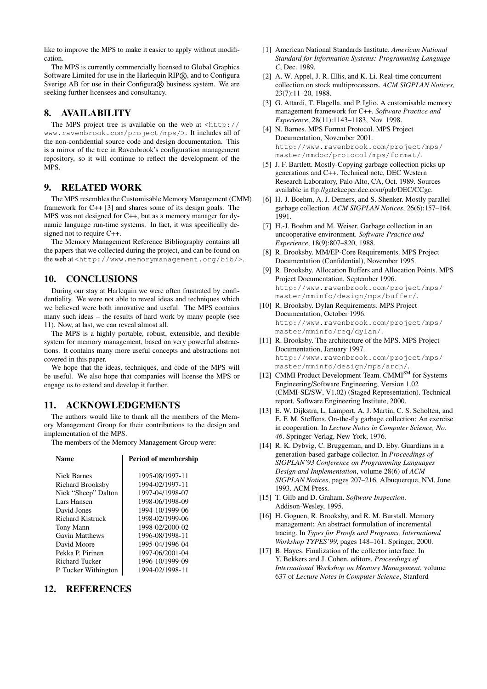like to improve the MPS to make it easier to apply without modification.

The MPS is currently commercially licensed to Global Graphics Software Limited for use in the Harlequin RIP®, and to Configura Sverige AB for use in their Configura® business system. We are seeking further licensees and consultancy.

# **8. AVAILABILITY**

The MPS project tree is available on the web at  $\langle h_{\text{t}}(t) \rangle$ www.ravenbrook.com/project/mps/>. It includes all of the non-confidential source code and design documentation. This is a mirror of the tree in Ravenbrook's configuration management repository, so it will continue to reflect the development of the MPS.

# **9. RELATED WORK**

The MPS resembles the Customisable Memory Management (CMM) framework for C++ [3] and shares some of its design goals. The MPS was not designed for C++, but as a memory manager for dynamic language run-time systems. In fact, it was specifically designed not to require C++.

The Memory Management Reference Bibliography contains all the papers that we collected during the project, and can be found on the web at <http://www.memorymanagement.org/bib/>.

# **10. CONCLUSIONS**

During our stay at Harlequin we were often frustrated by confidentiality. We were not able to reveal ideas and techniques which we believed were both innovative and useful. The MPS contains many such ideas – the results of hard work by many people (see 11). Now, at last, we can reveal almost all.

The MPS is a highly portable, robust, extensible, and flexible system for memory management, based on very powerful abstractions. It contains many more useful concepts and abstractions not covered in this paper.

We hope that the ideas, techniques, and code of the MPS will be useful. We also hope that companies will license the MPS or engage us to extend and develop it further.

# **11. ACKNOWLEDGEMENTS**

The authors would like to thank all the members of the Memory Management Group for their contributions to the design and implementation of the MPS.

The members of the Memory Management Group were:

| Name                  | <b>Period of membership</b> |
|-----------------------|-----------------------------|
| Nick Barnes           | 1995-08/1997-11             |
| Richard Brooksby      | 1994-02/1997-11             |
| Nick "Sheep" Dalton   | 1997-04/1998-07             |
| Lars Hansen           | 1998-06/1998-09             |
| David Jones           | 1994-10/1999-06             |
| Richard Kistruck      | 1998-02/1999-06             |
| Tony Mann             | 1998-02/2000-02             |
| <b>Gavin Matthews</b> | 1996-08/1998-11             |
| David Moore           | 1995-04/1996-04             |
| Pekka P. Pirinen      | 1997-06/2001-04             |
| Richard Tucker        | 1996-10/1999-09             |
| P. Tucker Withington  | 1994-02/1998-11             |

# **12. REFERENCES**

- [1] American National Standards Institute. *American National Standard for Information Systems: Programming Language C*, Dec. 1989.
- [2] A. W. Appel, J. R. Ellis, and K. Li. Real-time concurrent collection on stock multiprocessors. *ACM SIGPLAN Notices*, 23(7):11–20, 1988.
- [3] G. Attardi, T. Flagella, and P. Iglio. A customisable memory management framework for C++. *Software Practice and Experience*, 28(11):1143–1183, Nov. 1998.
- [4] N. Barnes. MPS Format Protocol. MPS Project Documentation, November 2001. http://www.ravenbrook.com/project/mps/ master/mmdoc/protocol/mps/format/.
- [5] J. F. Bartlett. Mostly-Copying garbage collection picks up generations and C++. Technical note, DEC Western Research Laboratory, Palo Alto, CA, Oct. 1989. Sources available in ftp://gatekeeper.dec.com/pub/DEC/CCgc.
- [6] H.-J. Boehm, A. J. Demers, and S. Shenker. Mostly parallel garbage collection. *ACM SIGPLAN Notices*, 26(6):157–164, 1991.
- [7] H.-J. Boehm and M. Weiser. Garbage collection in an uncooperative environment. *Software Practice and Experience*, 18(9):807–820, 1988.
- [8] R. Brooksby. MM/EP-Core Requirements. MPS Project Documentation (Confidential), November 1995.
- [9] R. Brooksby. Allocation Buffers and Allocation Points. MPS Project Documentation, September 1996. http://www.ravenbrook.com/project/mps/ master/mminfo/design/mps/buffer/.
- [10] R. Brooksby. Dylan Requirements. MPS Project Documentation, October 1996. http://www.ravenbrook.com/project/mps/ master/mminfo/req/dylan/.
- [11] R. Brooksby. The architecture of the MPS. MPS Project Documentation, January 1997. http://www.ravenbrook.com/project/mps/ master/mminfo/design/mps/arch/.
- [12] CMMI Product Development Team. CMMI<sup>SM</sup> for Systems Engineering/Software Engineering, Version 1.02 (CMMI-SE/SW, V1.02) (Staged Representation). Technical report, Software Engineering Institute, 2000.
- [13] E. W. Dijkstra, L. Lamport, A. J. Martin, C. S. Scholten, and E. F. M. Steffens. On-the-fly garbage collection: An exercise in cooperation. In *Lecture Notes in Computer Science, No. 46*. Springer-Verlag, New York, 1976.
- [14] R. K. Dybyig, C. Bruggeman, and D. Eby. Guardians in a generation-based garbage collector. In *Proceedings of SIGPLAN'93 Conference on Programming Languages Design and Implementation*, volume 28(6) of *ACM SIGPLAN Notices*, pages 207–216, Albuquerque, NM, June 1993. ACM Press.
- [15] T. Gilb and D. Graham. *Software Inspection*. Addison-Wesley, 1995.
- [16] H. Goguen, R. Brooksby, and R. M. Burstall. Memory management: An abstract formulation of incremental tracing. In *Types for Proofs and Programs, International Workshop TYPES'99*, pages 148–161. Springer, 2000.
- [17] B. Hayes. Finalization of the collector interface. In Y. Bekkers and J. Cohen, editors, *Proceedings of International Workshop on Memory Management*, volume 637 of *Lecture Notes in Computer Science*, Stanford